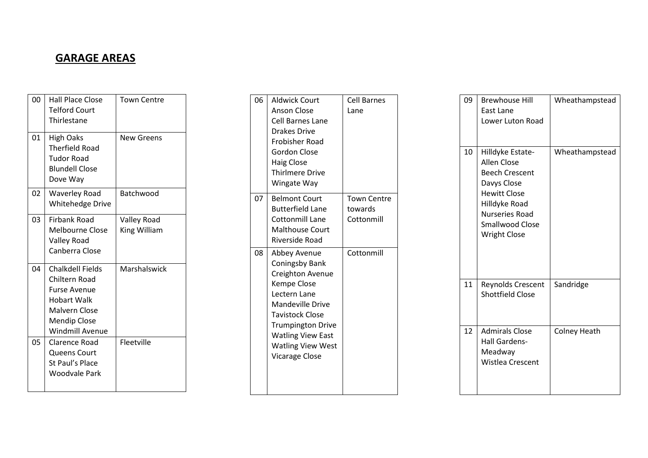## **GARAGE AREAS**

| 00 | <b>Hall Place Close</b><br><b>Telford Court</b><br>Thirlestane                                                                                                 | <b>Town Centre</b>                 |
|----|----------------------------------------------------------------------------------------------------------------------------------------------------------------|------------------------------------|
| 01 | High Oaks<br><b>Therfield Road</b><br>Tudor Road<br><b>Blundell Close</b><br>Dove Way                                                                          | <b>New Greens</b>                  |
| 02 | <b>Waverley Road</b><br><b>Whitehedge Drive</b>                                                                                                                | Batchwood                          |
| 03 | <b>Firbank Road</b><br><b>Melbourne Close</b><br>Valley Road<br>Canberra Close                                                                                 | <b>Valley Road</b><br>King William |
| 04 | <b>Chalkdell Fields</b><br>Chiltern Road<br><b>Furse Avenue</b><br><b>Hobart Walk</b><br><b>Malvern Close</b><br><b>Mendip Close</b><br><b>Windmill Avenue</b> | Marshalswick                       |
| 05 | Clarence Road<br>Queens Court<br>St Paul's Place<br>Woodvale Park                                                                                              | Fleetville                         |

| 06 | <b>Aldwick Court</b><br><b>Anson Close</b><br>Cell Barnes Lane<br><b>Drakes Drive</b><br>Frobisher Road<br>Gordon Close<br><b>Haig Close</b><br><b>Thirlmere Drive</b><br>Wingate Way                                                        | <b>Cell Barnes</b><br>Lane                  |
|----|----------------------------------------------------------------------------------------------------------------------------------------------------------------------------------------------------------------------------------------------|---------------------------------------------|
| 07 | <b>Belmont Court</b><br><b>Butterfield Lane</b><br><b>Cottonmill Lane</b><br><b>Malthouse Court</b><br>Riverside Road                                                                                                                        | <b>Town Centre</b><br>towards<br>Cottonmill |
| 08 | Abbey Avenue<br>Coningsby Bank<br>Creighton Avenue<br><b>Kempe Close</b><br>Lectern Lane<br><b>Mandeville Drive</b><br>Tavistock Close<br><b>Trumpington Drive</b><br><b>Watling View East</b><br><b>Watling View West</b><br>Vicarage Close | Cottonmill                                  |

| 09 | <b>Brewhouse Hill</b><br>East Lane<br>Lower Luton Road                                                                                                                                    | Wheathampstead      |
|----|-------------------------------------------------------------------------------------------------------------------------------------------------------------------------------------------|---------------------|
| 10 | Hilldyke Estate-<br>Allen Close<br><b>Beech Crescent</b><br>Davys Close<br><b>Hewitt Close</b><br>Hilldyke Road<br><b>Nurseries Road</b><br><b>Smallwood Close</b><br><b>Wright Close</b> | Wheathampstead      |
| 11 | Reynolds Crescent<br><b>Shottfield Close</b>                                                                                                                                              | Sandridge           |
| 12 | <b>Admirals Close</b><br>Hall Gardens-<br>Meadway<br>Wistlea Crescent                                                                                                                     | <b>Colney Heath</b> |